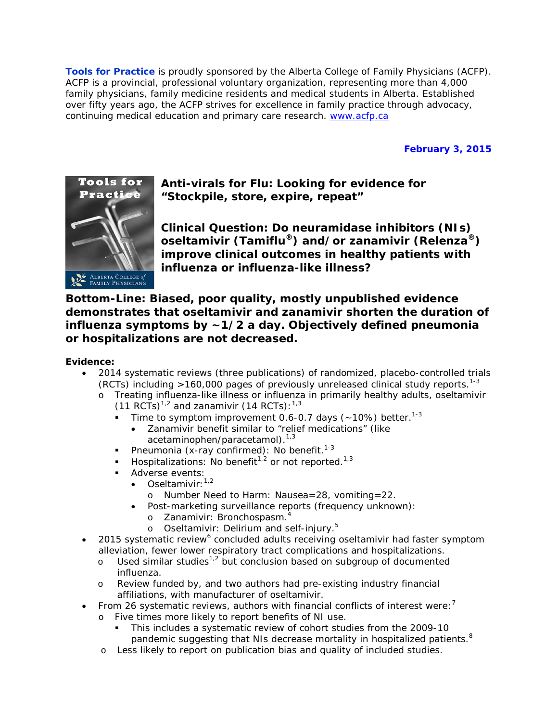**Tools for Practice** is proudly sponsored by the Alberta College of Family Physicians (ACFP). ACFP is a provincial, professional voluntary organization, representing more than 4,000 family physicians, family medicine residents and medical students in Alberta. Established over fifty years ago, the ACFP strives for excellence in family practice through advocacy, continuing medical education and primary care research. [www.acfp.ca](http://r20.rs6.net/tn.jsp?llr=j5jhyecab&et=1106581339886&s=0&e=0018HsPjNJAVitI8Ray9i14VUEPh8QgRLpopT1hs0e5ZuwGPqGnH9-N6tL_UP5LTij9cP43lHBva_IRi6MMeFppG6SamR3ro1dGo2mwyQcV95k=)

# **February 3, 2015**



**Anti-virals for Flu: Looking for evidence for "Stockpile, store, expire, repeat"**

**Clinical Question: Do neuramidase inhibitors (NIs) oseltamivir (Tamiflu®) and/or zanamivir (Relenza®) improve clinical outcomes in healthy patients with influenza or influenza-like illness?**

**Bottom-Line: Biased, poor quality, mostly unpublished evidence demonstrates that oseltamivir and zanamivir shorten the duration of influenza symptoms by ~1/2 a day. Objectively defined pneumonia or hospitalizations are not decreased.**

### **Evidence:**

- 2014 systematic reviews (three publications) of randomized, placebo-controlled trials (RCTs) including >160,000 pages of previously unreleased clinical study reports. 1-3
	- o Treating influenza-like illness or influenza in primarily healthy adults, oseltamivir (11 RCTs)<sup>1,2</sup> and zanamivir (14 RCTs):<sup>1,3</sup>
		- $\blacksquare$  Time to symptom improvement 0.6-0.7 days (~10%) better.<sup>1-3</sup>
			- Zanamivir benefit similar to "relief medications" (like acetaminophen/paracetamol).<sup>1,3</sup>
		- Pneumonia (x-ray confirmed): No benefit.<sup>1-3</sup>
		- **Hospitalizations:** No benefit<sup>1,2</sup> or not reported.<sup>1,3</sup>
		- **Adverse events:** 
			- Oseltamivir: $1,2$ 
				- o Number Need to Harm: Nausea=28, vomiting=22.
			- Post-marketing surveillance reports (frequency unknown):
				- o Zanamivir: Bronchospasm. 4
				- $\circ$  Oseltamivir: Delirium and self-injury. $^5$
- 2015 systematic review<sup>6</sup> concluded adults receiving oseltamivir had faster symptom alleviation, fewer lower respiratory tract complications and hospitalizations.
	- o Used similar studies1,2 but conclusion based on subgroup of documented influenza.
	- o Review funded by, and two authors had pre-existing industry financial affiliations, with manufacturer of oseltamivir.
- From 26 systematic reviews, authors with financial conflicts of interest were:<sup>7</sup>
	- o Five times more likely to report benefits of NI use.
		- This includes a systematic review of cohort studies from the 2009-10 pandemic suggesting that NIs decrease mortality in hospitalized patients. $8$
	- o Less likely to report on publication bias and quality of included studies.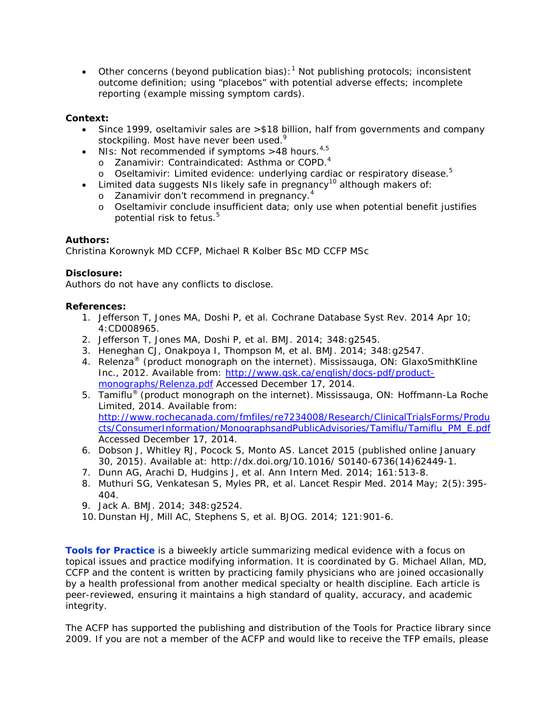• Other concerns (beyond publication bias):<sup>1</sup> Not publishing protocols; inconsistent outcome definition; using "placebos" with potential adverse effects; incomplete reporting (example missing symptom cards).

## **Context:**

- Since 1999, oseltamivir sales are >\$18 billion, half from governments and company stockpiling. Most have never been used.<sup>9</sup>
- NIs: Not recommended if symptoms >48 hours.<sup>4,5</sup>
	- o Zanamivir: Contraindicated: Asthma or COPD.<sup>4</sup>
	- o Oseltamivir: Limited evidence: underlying cardiac or respiratory disease.<sup>5</sup>
- Limited data suggests NIs likely safe in pregnancy<sup>10</sup> although makers of:
	- o Zanamivir don't recommend in pregnancy.<sup>4</sup>
	- o Oseltamivir conclude insufficient data; only use when potential benefit justifies potential risk to fetus. 5

### **Authors:**

Christina Korownyk MD CCFP, Michael R Kolber BSc MD CCFP MSc

### **Disclosure:**

Authors do not have any conflicts to disclose.

#### **References:**

- 1. Jefferson T, Jones MA, Doshi P, *et al*. Cochrane Database Syst Rev. 2014 Apr 10; 4:CD008965.
- 2. Jefferson T, Jones MA, Doshi P, *et al*. BMJ. 2014; 348:g2545.
- 3. Heneghan CJ, Onakpoya I, Thompson M, *et al*. BMJ. 2014; 348:g2547.
- 4. Relenza<sup>®</sup> (product monograph on the internet). Mississauga, ON: GlaxoSmithKline Inc., 2012. Available from: [http://www.gsk.ca/english/docs-pdf/product](http://www.gsk.ca/english/docs-pdf/product-monographs/Relenza.pdf)[monographs/Relenza.pdf](http://www.gsk.ca/english/docs-pdf/product-monographs/Relenza.pdf) Accessed December 17, 2014.
- 5. Tamiflu® (product monograph on the internet). Mississauga, ON: Hoffmann-La Roche Limited, 2014. Available from: [http://www.rochecanada.com/fmfiles/re7234008/Research/ClinicalTrialsForms/Produ](http://www.rochecanada.com/fmfiles/re7234008/Research/ClinicalTrialsForms/Products/ConsumerInformation/MonographsandPublicAdvisories/Tamiflu/Tamiflu_PM_E.pdf) [cts/ConsumerInformation/MonographsandPublicAdvisories/Tamiflu/Tamiflu\\_PM\\_E.pdf](http://www.rochecanada.com/fmfiles/re7234008/Research/ClinicalTrialsForms/Products/ConsumerInformation/MonographsandPublicAdvisories/Tamiflu/Tamiflu_PM_E.pdf) Accessed December 17, 2014.
- 6. Dobson J, Whitley RJ, Pocock S, Monto AS. Lancet 2015 (published online January 30, 2015). Available at: http://dx.doi.org/10.1016/ S0140-6736(14)62449-1.
- 7. Dunn AG, Arachi D, Hudgins J, *et al*. Ann Intern Med. 2014; 161:513-8.
- 8. [Muthuri SG,](http://www-ncbi-nlm-nih-gov.login.ezproxy.library.ualberta.ca/pubmed?term=Muthuri%20SG%5BAuthor%5D&cauthor=true&cauthor_uid=24815805) [Venkatesan S,](http://www-ncbi-nlm-nih-gov.login.ezproxy.library.ualberta.ca/pubmed?term=Venkatesan%20S%5BAuthor%5D&cauthor=true&cauthor_uid=24815805) [Myles PR,](http://www-ncbi-nlm-nih-gov.login.ezproxy.library.ualberta.ca/pubmed?term=Myles%20PR%5BAuthor%5D&cauthor=true&cauthor_uid=24815805) *et al*. Lancet Respir Med. 2014 May; 2(5):395- 404.
- 9. Jack A. BMJ. 2014; 348:g2524.
- 10. Dunstan HJ, Mill AC, Stephens S, *et al*. BJOG. 2014; 121:901-6.

**Tools for Practice** is a biweekly article summarizing medical evidence with a focus on topical issues and practice modifying information. It is coordinated by G. Michael Allan, MD, CCFP and the content is written by practicing family physicians who are joined occasionally by a health professional from another medical specialty or health discipline. Each article is peer-reviewed, ensuring it maintains a high standard of quality, accuracy, and academic integrity.

The ACFP has supported the publishing and distribution of the Tools for Practice library since 2009. If you are not a member of the ACFP and would like to receive the TFP emails, please